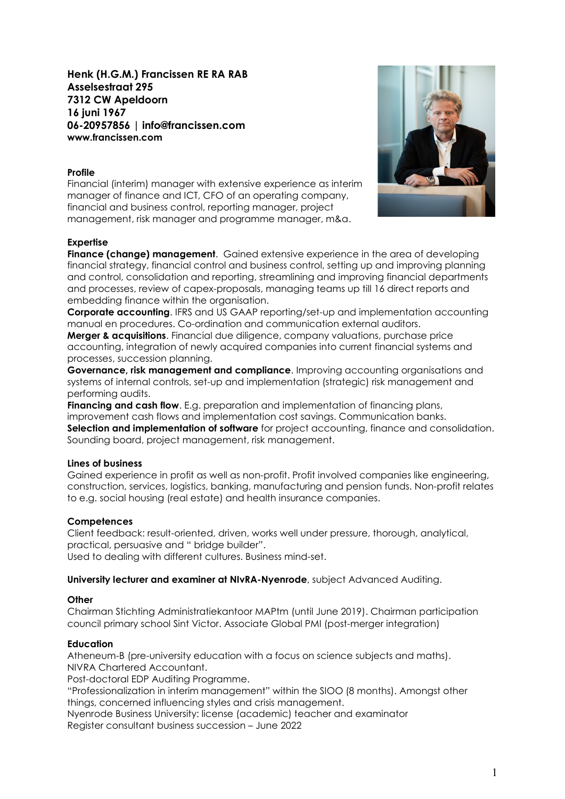# Henk (H.G.M.) Francissen RE RA RAB Asselsestraat 295 7312 CW Apeldoorn 16 juni 1967 06-20957856 | info@francissen.com www.francissen.com

### Profile

Financial (interim) manager with extensive experience as interim manager of finance and ICT, CFO of an operating company, financial and business control, reporting manager, project management, risk manager and programme manager, m&a.

### Expertise



Finance (change) management. Gained extensive experience in the area of developing financial strategy, financial control and business control, setting up and improving planning and control, consolidation and reporting, streamlining and improving financial departments and processes, review of capex-proposals, managing teams up till 16 direct reports and embedding finance within the organisation.

Corporate accounting. IFRS and US GAAP reporting/set-up and implementation accounting manual en procedures. Co-ordination and communication external auditors.

**Merger & acquisitions.** Financial due diligence, company valuations, purchase price accounting, integration of newly acquired companies into current financial systems and processes, succession planning.

Governance, risk management and compliance. Improving accounting organisations and systems of internal controls, set-up and implementation (strategic) risk management and performing audits.

**Financing and cash flow.** E.g. preparation and implementation of financing plans, improvement cash flows and implementation cost savings. Communication banks. Selection and implementation of software for project accounting, finance and consolidation. Sounding board, project management, risk management.

### Lines of business

Gained experience in profit as well as non-profit. Profit involved companies like engineering, construction, services, logistics, banking, manufacturing and pension funds. Non-profit relates to e.g. social housing (real estate) and health insurance companies.

### **Competences**

Client feedback: result-oriented, driven, works well under pressure, thorough, analytical, practical, persuasive and " bridge builder". Used to dealing with different cultures. Business mind-set.

University lecturer and examiner at NIvRA-Nyenrode, subject Advanced Auditing.

### **Other**

Chairman Stichting Administratiekantoor MAPtm (until June 2019). Chairman participation council primary school Sint Victor. Associate Global PMI (post-merger integration)

### **Education**

Atheneum-B (pre-university education with a focus on science subjects and maths). NIVRA Chartered Accountant.

Post-doctoral EDP Auditing Programme.

"Professionalization in interim management" within the SIOO (8 months). Amongst other things, concerned influencing styles and crisis management.

Nyenrode Business University: license (academic) teacher and examinator Register consultant business succession – June 2022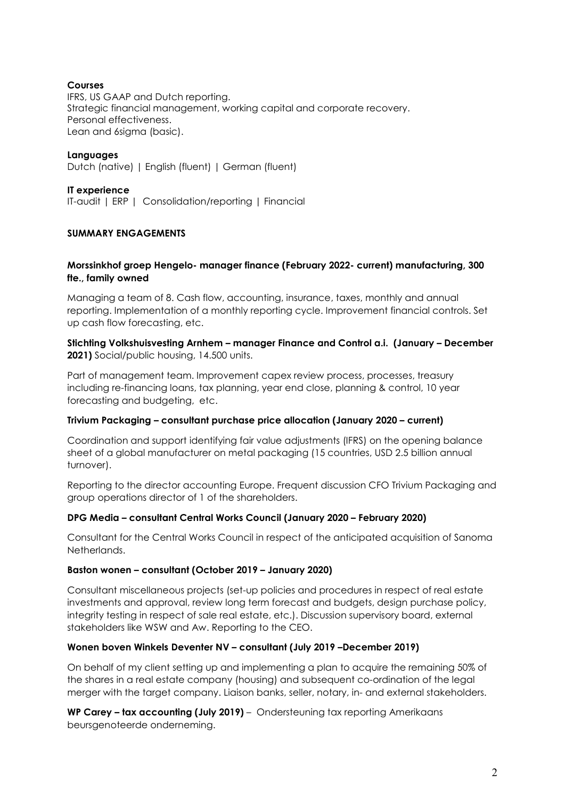### Courses

IFRS, US GAAP and Dutch reporting. Strategic financial management, working capital and corporate recovery. Personal effectiveness. Lean and 6sigma (basic).

Languages

Dutch (native) | English (fluent) | German (fluent)

### IT experience

IT-audit | ERP | Consolidation/reporting | Financial

### SUMMARY ENGAGEMENTS

### Morssinkhof groep Hengelo- manager finance (February 2022- current) manufacturing, 300 fte., family owned

Managing a team of 8. Cash flow, accounting, insurance, taxes, monthly and annual reporting. Implementation of a monthly reporting cycle. Improvement financial controls. Set up cash flow forecasting, etc.

### Stichting Volkshuisvesting Arnhem – manager Finance and Control a.i. (January – December 2021) Social/public housing, 14.500 units.

Part of management team. Improvement capex review process, processes, treasury including re-financing loans, tax planning, year end close, planning & control, 10 year forecasting and budgeting, etc.

### Trivium Packaging – consultant purchase price allocation (January 2020 – current)

Coordination and support identifying fair value adjustments (IFRS) on the opening balance sheet of a global manufacturer on metal packaging (15 countries, USD 2.5 billion annual turnover).

Reporting to the director accounting Europe. Frequent discussion CFO Trivium Packaging and group operations director of 1 of the shareholders.

### DPG Media – consultant Central Works Council (January 2020 – February 2020)

Consultant for the Central Works Council in respect of the anticipated acquisition of Sanoma **Netherlands** 

### Baston wonen – consultant (October 2019 – January 2020)

Consultant miscellaneous projects (set-up policies and procedures in respect of real estate investments and approval, review long term forecast and budgets, design purchase policy, integrity testing in respect of sale real estate, etc.). Discussion supervisory board, external stakeholders like WSW and Aw. Reporting to the CEO.

### Wonen boven Winkels Deventer NV – consultant (July 2019 –December 2019)

On behalf of my client setting up and implementing a plan to acquire the remaining 50% of the shares in a real estate company (housing) and subsequent co-ordination of the legal merger with the target company. Liaison banks, seller, notary, in- and external stakeholders.

WP Carey - tax accounting (July 2019) - Ondersteuning tax reporting Amerikaans beursgenoteerde onderneming.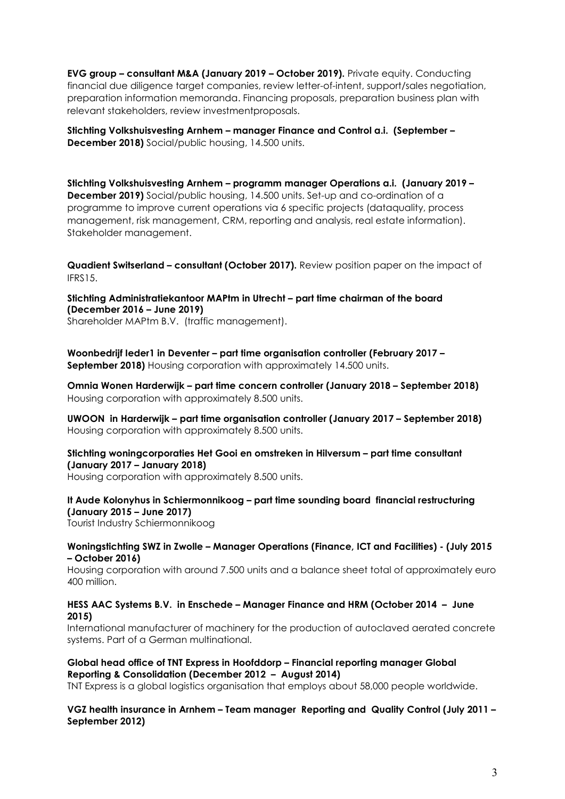EVG group – consultant M&A (January 2019 – October 2019). Private equity. Conducting financial due diligence target companies, review letter-of-intent, support/sales negotiation, preparation information memoranda. Financing proposals, preparation business plan with relevant stakeholders, review investmentproposals.

Stichting Volkshuisvesting Arnhem – manager Finance and Control a.i. (September – December 2018) Social/public housing, 14.500 units.

Stichting Volkshuisvesting Arnhem – programm manager Operations a.i. (January 2019 – December 2019) Social/public housing, 14.500 units. Set-up and co-ordination of a programme to improve current operations via 6 specific projects (dataquality, process management, risk management, CRM, reporting and analysis, real estate information). Stakeholder management.

Quadient Switserland – consultant (October 2017). Review position paper on the impact of IFRS15.

Stichting Administratiekantoor MAPtm in Utrecht – part time chairman of the board (December 2016 – June 2019)

Shareholder MAPtm B.V. (traffic management).

Woonbedrijf Ieder1 in Deventer – part time organisation controller (February 2017 – September 2018) Housing corporation with approximately 14.500 units.

Omnia Wonen Harderwijk – part time concern controller (January 2018 – September 2018) Housing corporation with approximately 8.500 units.

UWOON in Harderwijk – part time organisation controller (January 2017 – September 2018) Housing corporation with approximately 8.500 units.

### Stichting woningcorporaties Het Gooi en omstreken in Hilversum – part time consultant (January 2017 – January 2018)

Housing corporation with approximately 8.500 units.

# It Aude Kolonyhus in Schiermonnikoog – part time sounding board financial restructuring (January 2015 – June 2017)

Tourist Industry Schiermonnikoog

#### Woningstichting SWZ in Zwolle – Manager Operations (Finance, ICT and Facilities) - (July 2015 – October 2016)

Housing corporation with around 7.500 units and a balance sheet total of approximately euro 400 million.

### HESS AAC Systems B.V. in Enschede – Manager Finance and HRM (October 2014 – June 2015)

International manufacturer of machinery for the production of autoclaved aerated concrete systems. Part of a German multinational.

## Global head office of TNT Express in Hoofddorp – Financial reporting manager Global Reporting & Consolidation (December 2012 – August 2014)

TNT Express is a global logistics organisation that employs about 58,000 people worldwide.

### VGZ health insurance in Arnhem – Team manager Reporting and Quality Control (July 2011 – September 2012)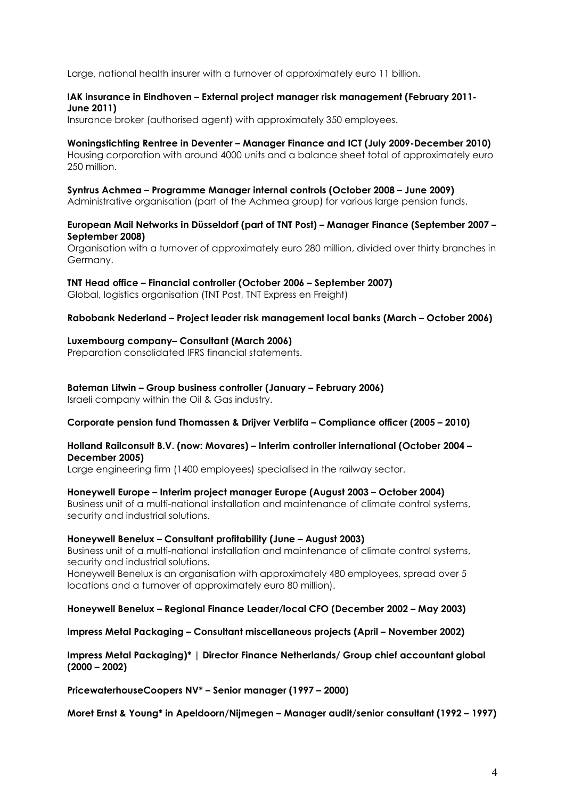Large, national health insurer with a turnover of approximately euro 11 billion.

### IAK insurance in Eindhoven – External project manager risk management (February 2011- June 2011)

Insurance broker (authorised agent) with approximately 350 employees.

### Woningstichting Rentree in Deventer – Manager Finance and ICT (July 2009-December 2010)

Housing corporation with around 4000 units and a balance sheet total of approximately euro 250 million.

#### Syntrus Achmea – Programme Manager internal controls (October 2008 – June 2009)

Administrative organisation (part of the Achmea group) for various large pension funds.

### European Mail Networks in Düsseldorf (part of TNT Post) – Manager Finance (September 2007 – September 2008)

Organisation with a turnover of approximately euro 280 million, divided over thirty branches in Germany.

### TNT Head office – Financial controller (October 2006 – September 2007)

Global, logistics organisation (TNT Post, TNT Express en Freight)

### Rabobank Nederland – Project leader risk management local banks (March – October 2006)

### Luxembourg company– Consultant (March 2006)

Preparation consolidated IFRS financial statements.

Bateman Litwin – Group business controller (January – February 2006) Israeli company within the Oil & Gas industry.

### Corporate pension fund Thomassen & Drijver Verblifa – Compliance officer (2005 – 2010)

### Holland Railconsult B.V. (now: Movares) – Interim controller international (October 2004 – December 2005)

Large engineering firm (1400 employees) specialised in the railway sector.

### Honeywell Europe – Interim project manager Europe (August 2003 – October 2004)

Business unit of a multi-national installation and maintenance of climate control systems, security and industrial solutions.

### Honeywell Benelux – Consultant profitability (June – August 2003)

Business unit of a multi-national installation and maintenance of climate control systems, security and industrial solutions.

Honeywell Benelux is an organisation with approximately 480 employees, spread over 5 locations and a turnover of approximately euro 80 million).

Honeywell Benelux – Regional Finance Leader/local CFO (December 2002 – May 2003)

Impress Metal Packaging – Consultant miscellaneous projects (April – November 2002)

Impress Metal Packaging)\* | Director Finance Netherlands/ Group chief accountant global (2000 – 2002)

PricewaterhouseCoopers NV\* – Senior manager (1997 – 2000)

Moret Ernst & Young\* in Apeldoorn/Nijmegen – Manager audit/senior consultant (1992 – 1997)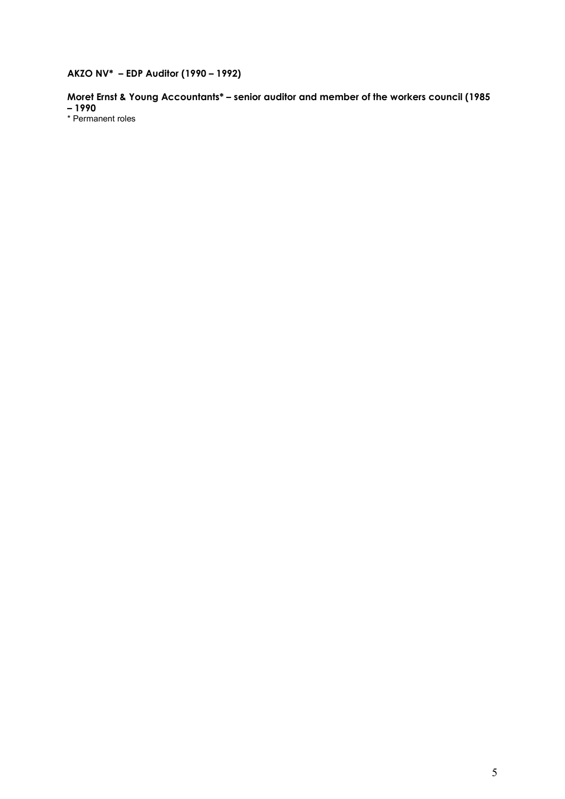# AKZO NV\* – EDP Auditor (1990 – 1992)

Moret Ernst & Young Accountants\* – senior auditor and member of the workers council (1985 – 1990

\* Permanent roles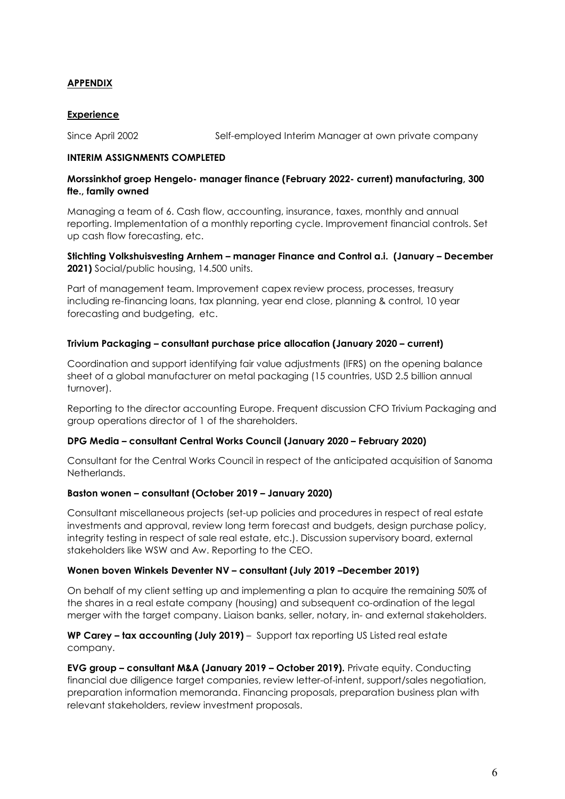# APPENDIX

### **Experience**

Since April 2002 Self-employed Interim Manager at own private company

### INTERIM ASSIGNMENTS COMPLETED

### Morssinkhof groep Hengelo- manager finance (February 2022- current) manufacturing, 300 fte., family owned

Managing a team of 6. Cash flow, accounting, insurance, taxes, monthly and annual reporting. Implementation of a monthly reporting cycle. Improvement financial controls. Set up cash flow forecasting, etc.

Stichting Volkshuisvesting Arnhem – manager Finance and Control a.i. (January – December 2021) Social/public housing, 14.500 units.

Part of management team. Improvement capex review process, processes, treasury including re-financing loans, tax planning, year end close, planning & control, 10 year forecasting and budgeting, etc.

### Trivium Packaging – consultant purchase price allocation (January 2020 – current)

Coordination and support identifying fair value adjustments (IFRS) on the opening balance sheet of a global manufacturer on metal packaging (15 countries, USD 2.5 billion annual turnover).

Reporting to the director accounting Europe. Frequent discussion CFO Trivium Packaging and group operations director of 1 of the shareholders.

### DPG Media – consultant Central Works Council (January 2020 – February 2020)

Consultant for the Central Works Council in respect of the anticipated acquisition of Sanoma Netherlands.

### Baston wonen – consultant (October 2019 – January 2020)

Consultant miscellaneous projects (set-up policies and procedures in respect of real estate investments and approval, review long term forecast and budgets, design purchase policy, integrity testing in respect of sale real estate, etc.). Discussion supervisory board, external stakeholders like WSW and Aw. Reporting to the CEO.

### Wonen boven Winkels Deventer NV – consultant (July 2019 –December 2019)

On behalf of my client setting up and implementing a plan to acquire the remaining 50% of the shares in a real estate company (housing) and subsequent co-ordination of the legal merger with the target company. Liaison banks, seller, notary, in- and external stakeholders.

WP Carey – tax accounting (July 2019) – Support tax reporting US Listed real estate company.

EVG group – consultant M&A (January 2019 – October 2019). Private equity. Conducting financial due diligence target companies, review letter-of-intent, support/sales negotiation, preparation information memoranda. Financing proposals, preparation business plan with relevant stakeholders, review investment proposals.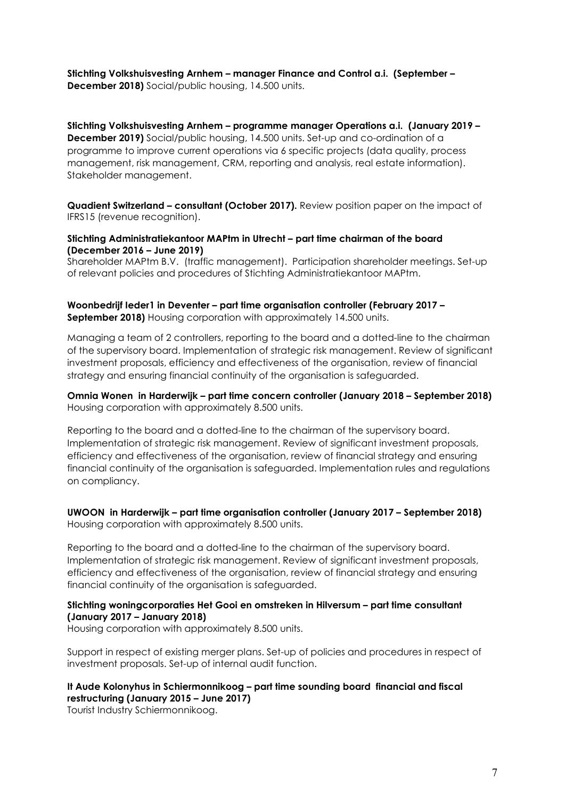Stichting Volkshuisvesting Arnhem – manager Finance and Control a.i. (September – December 2018) Social/public housing, 14.500 units.

Stichting Volkshuisvesting Arnhem – programme manager Operations a.i. (January 2019 – December 2019) Social/public housing, 14.500 units. Set-up and co-ordination of a programme to improve current operations via 6 specific projects (data quality, process management, risk management, CRM, reporting and analysis, real estate information). Stakeholder management.

Quadient Switzerland – consultant (October 2017). Review position paper on the impact of IFRS15 (revenue recognition).

#### Stichting Administratiekantoor MAPtm in Utrecht – part time chairman of the board (December 2016 – June 2019)

Shareholder MAPtm B.V. (traffic management). Participation shareholder meetings. Set-up of relevant policies and procedures of Stichting Administratiekantoor MAPtm.

Woonbedrijf Ieder1 in Deventer – part time organisation controller (February 2017 – September 2018) Housing corporation with approximately 14.500 units.

Managing a team of 2 controllers, reporting to the board and a dotted-line to the chairman of the supervisory board. Implementation of strategic risk management. Review of significant investment proposals, efficiency and effectiveness of the organisation, review of financial strategy and ensuring financial continuity of the organisation is safeguarded.

Omnia Wonen in Harderwijk – part time concern controller (January 2018 – September 2018) Housing corporation with approximately 8.500 units.

Reporting to the board and a dotted-line to the chairman of the supervisory board. Implementation of strategic risk management. Review of significant investment proposals, efficiency and effectiveness of the organisation, review of financial strategy and ensuring financial continuity of the organisation is safeguarded. Implementation rules and regulations on compliancy.

#### UWOON in Harderwijk – part time organisation controller (January 2017 – September 2018) Housing corporation with approximately 8.500 units.

Reporting to the board and a dotted-line to the chairman of the supervisory board. Implementation of strategic risk management. Review of significant investment proposals, efficiency and effectiveness of the organisation, review of financial strategy and ensuring financial continuity of the organisation is safeguarded.

### Stichting woningcorporaties Het Gooi en omstreken in Hilversum – part time consultant (January 2017 – January 2018)

Housing corporation with approximately 8.500 units.

Support in respect of existing merger plans. Set-up of policies and procedures in respect of investment proposals. Set-up of internal audit function.

# It Aude Kolonyhus in Schiermonnikoog – part time sounding board financial and fiscal restructuring (January 2015 – June 2017)

Tourist Industry Schiermonnikoog.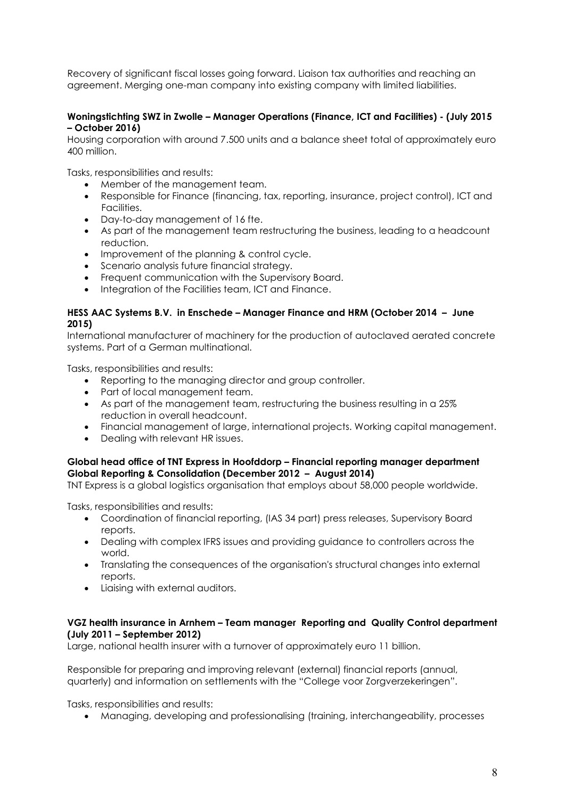Recovery of significant fiscal losses going forward. Liaison tax authorities and reaching an agreement. Merging one-man company into existing company with limited liabilities.

### Woningstichting SWZ in Zwolle – Manager Operations (Finance, ICT and Facilities) - (July 2015 – October 2016)

Housing corporation with around 7.500 units and a balance sheet total of approximately euro 400 million.

Tasks, responsibilities and results:

- Member of the management team.
- Responsible for Finance (financing, tax, reporting, insurance, project control), ICT and Facilities.
- Day-to-day management of 16 fte.
- As part of the management team restructuring the business, leading to a headcount reduction.
- Improvement of the planning & control cycle.
- Scenario analysis future financial strategy.
- Frequent communication with the Supervisory Board.
- Integration of the Facilities team, ICT and Finance.

### HESS AAC Systems B.V. in Enschede – Manager Finance and HRM (October 2014 – June 2015)

International manufacturer of machinery for the production of autoclaved aerated concrete systems. Part of a German multinational.

Tasks, responsibilities and results:

- Reporting to the managing director and group controller.
- Part of local management team.
- As part of the management team, restructuring the business resulting in a 25% reduction in overall headcount.
- Financial management of large, international projects. Working capital management.
- Dealing with relevant HR issues.

### Global head office of TNT Express in Hoofddorp – Financial reporting manager department Global Reporting & Consolidation (December 2012 – August 2014)

TNT Express is a global logistics organisation that employs about 58,000 people worldwide.

Tasks, responsibilities and results:

- Coordination of financial reporting, (IAS 34 part) press releases, Supervisory Board reports.
- Dealing with complex IFRS issues and providing guidance to controllers across the world.
- Translating the consequences of the organisation's structural changes into external reports.
- Liaising with external auditors.

### VGZ health insurance in Arnhem – Team manager Reporting and Quality Control department (July 2011 – September 2012)

Large, national health insurer with a turnover of approximately euro 11 billion.

Responsible for preparing and improving relevant (external) financial reports (annual, quarterly) and information on settlements with the "College voor Zorgverzekeringen".

Tasks, responsibilities and results:

Managing, developing and professionalising (training, interchangeability, processes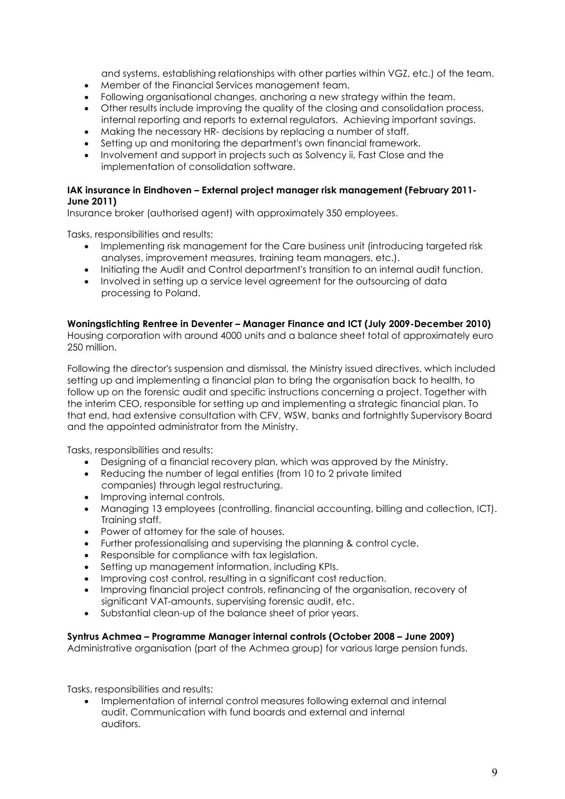and systems, establishing relationships with other parties within VGZ, etc.) of the team.

- Member of the Financial Services management team.
- Following organisational changes, anchoring a new strategy within the team.
- Other results include improving the quality of the closing and consolidation process, internal reporting and reports to external regulators. Achieving important savings.
- Making the necessary HR- decisions by replacing a number of staff.
- Setting up and monitoring the department's own financial framework.
- Involvement and support in projects such as Solvency ii, Fast Close and the implementation of consolidation software.

### IAK insurance in Eindhoven – External project manager risk management (February 2011- June 2011)

Insurance broker (authorised agent) with approximately 350 employees.

Tasks, responsibilities and results:

- Implementing risk management for the Care business unit (introducing targeted risk analyses, improvement measures, training team managers, etc.).
- Initiating the Audit and Control department's transition to an internal audit function.
- Involved in setting up a service level agreement for the outsourcing of data processing to Poland.

### Woningstichting Rentree in Deventer – Manager Finance and ICT (July 2009-December 2010)

Housing corporation with around 4000 units and a balance sheet total of approximately euro 250 million.

Following the director's suspension and dismissal, the Ministry issued directives, which included setting up and implementing a financial plan to bring the organisation back to health, to follow up on the forensic audit and specific instructions concerning a project. Together with the interim CEO, responsible for setting up and implementing a strategic financial plan. To that end, had extensive consultation with CFV, WSW, banks and fortnightly Supervisory Board and the appointed administrator from the Ministry.

Tasks, responsibilities and results:

- Designing of a financial recovery plan, which was approved by the Ministry.
- Reducing the number of legal entities (from 10 to 2 private limited companies) through legal restructuring.
- Improving internal controls.
- Managing 13 employees (controlling, financial accounting, billing and collection, ICT). Training staff.
- Power of attorney for the sale of houses.
- Further professionalising and supervising the planning & control cycle.
- Responsible for compliance with tax legislation.
- Setting up management information, including KPIs.
- Improving cost control, resulting in a significant cost reduction.
- Improving financial project controls, refinancing of the organisation, recovery of significant VAT-amounts, supervising forensic audit, etc.
- Substantial clean-up of the balance sheet of prior years.

### Syntrus Achmea – Programme Manager internal controls (October 2008 – June 2009)

Administrative organisation (part of the Achmea group) for various large pension funds.

Tasks, responsibilities and results:

 Implementation of internal control measures following external and internal audit. Communication with fund boards and external and internal auditors.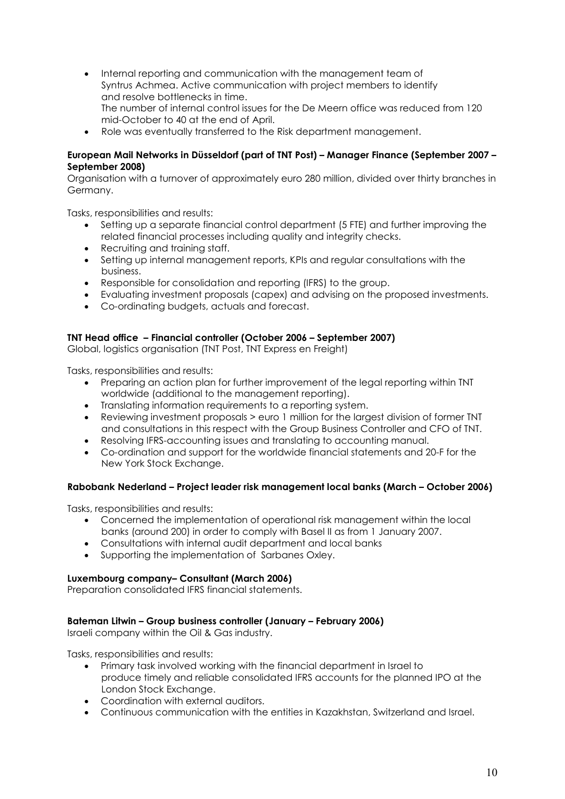- Internal reporting and communication with the management team of Syntrus Achmea. Active communication with project members to identify and resolve bottlenecks in time. The number of internal control issues for the De Meern office was reduced from 120 mid-October to 40 at the end of April.
- Role was eventually transferred to the Risk department management.

### European Mail Networks in Düsseldorf (part of TNT Post) – Manager Finance (September 2007 – September 2008)

Organisation with a turnover of approximately euro 280 million, divided over thirty branches in Germany.

Tasks, responsibilities and results:

- Setting up a separate financial control department (5 FTE) and further improving the related financial processes including quality and integrity checks.
- Recruiting and training staff.
- Setting up internal management reports, KPIs and regular consultations with the business.
- Responsible for consolidation and reporting (IFRS) to the group.
- Evaluating investment proposals (capex) and advising on the proposed investments.
- Co-ordinating budgets, actuals and forecast.

### TNT Head office – Financial controller (October 2006 – September 2007)

Global, logistics organisation (TNT Post, TNT Express en Freight)

Tasks, responsibilities and results:

- Preparing an action plan for further improvement of the legal reporting within TNT worldwide (additional to the management reporting).
- Translating information requirements to a reporting system.
- Reviewing investment proposals > euro 1 million for the largest division of former TNT and consultations in this respect with the Group Business Controller and CFO of TNT.
- Resolving IFRS-accounting issues and translating to accounting manual.
- Co-ordination and support for the worldwide financial statements and 20-F for the New York Stock Exchange.

### Rabobank Nederland – Project leader risk management local banks (March – October 2006)

Tasks, responsibilities and results:

- Concerned the implementation of operational risk management within the local banks (around 200) in order to comply with Basel II as from 1 January 2007.
- Consultations with internal audit department and local banks
- Supporting the implementation of Sarbanes Oxley.

### Luxembourg company– Consultant (March 2006)

Preparation consolidated IFRS financial statements.

### Bateman Litwin – Group business controller (January – February 2006)

Israeli company within the Oil & Gas industry.

Tasks, responsibilities and results:

- Primary task involved working with the financial department in Israel to produce timely and reliable consolidated IFRS accounts for the planned IPO at the London Stock Exchange.
- Coordination with external auditors.
- Continuous communication with the entities in Kazakhstan, Switzerland and Israel.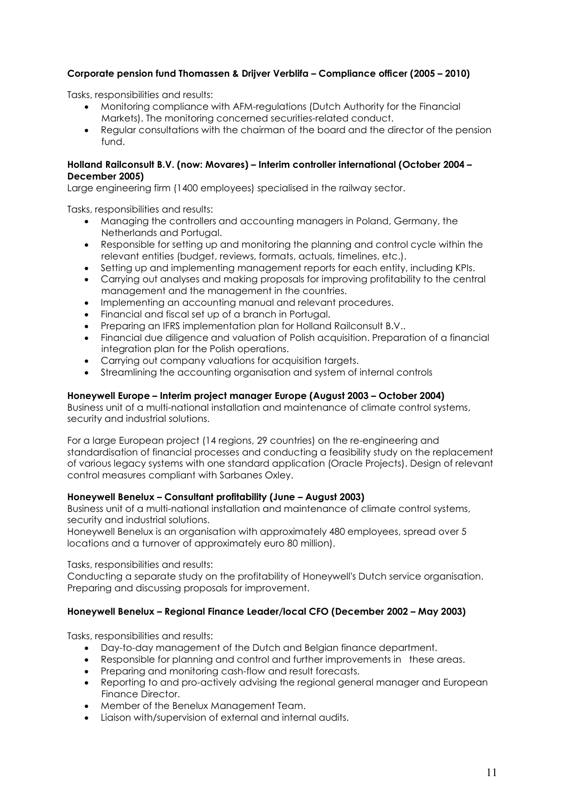# Corporate pension fund Thomassen & Drijver Verblifa – Compliance officer (2005 – 2010)

Tasks, responsibilities and results:

- Monitoring compliance with AFM-regulations (Dutch Authority for the Financial Markets). The monitoring concerned securities-related conduct.
- Regular consultations with the chairman of the board and the director of the pension fund.

### Holland Railconsult B.V. (now: Movares) – Interim controller international (October 2004 – December 2005)

Large engineering firm (1400 employees) specialised in the railway sector.

Tasks, responsibilities and results:

- Managing the controllers and accounting managers in Poland, Germany, the Netherlands and Portugal.
- Responsible for setting up and monitoring the planning and control cycle within the relevant entities (budget, reviews, formats, actuals, timelines, etc.).
- Setting up and implementing management reports for each entity, including KPIs.
- Carrying out analyses and making proposals for improving profitability to the central management and the management in the countries.
- Implementing an accounting manual and relevant procedures.
- Financial and fiscal set up of a branch in Portugal.
- Preparing an IFRS implementation plan for Holland Railconsult B.V..
- Financial due diligence and valuation of Polish acquisition. Preparation of a financial integration plan for the Polish operations.
- Carrying out company valuations for acquisition targets.
- Streamlining the accounting organisation and system of internal controls

### Honeywell Europe – Interim project manager Europe (August 2003 – October 2004)

Business unit of a multi-national installation and maintenance of climate control systems, security and industrial solutions.

For a large European project (14 regions, 29 countries) on the re-engineering and standardisation of financial processes and conducting a feasibility study on the replacement of various legacy systems with one standard application (Oracle Projects). Design of relevant control measures compliant with Sarbanes Oxley.

### Honeywell Benelux – Consultant profitability (June – August 2003)

Business unit of a multi-national installation and maintenance of climate control systems, security and industrial solutions.

Honeywell Benelux is an organisation with approximately 480 employees, spread over 5 locations and a turnover of approximately euro 80 million).

Tasks, responsibilities and results:

Conducting a separate study on the profitability of Honeywell's Dutch service organisation. Preparing and discussing proposals for improvement.

### Honeywell Benelux – Regional Finance Leader/local CFO (December 2002 – May 2003)

Tasks, responsibilities and results:

- Day-to-day management of the Dutch and Belgian finance department.
- Responsible for planning and control and further improvements in these areas.
- Preparing and monitoring cash-flow and result forecasts.
- Reporting to and pro-actively advising the regional general manager and European Finance Director.
- Member of the Benelux Management Team.
- Liaison with/supervision of external and internal audits.